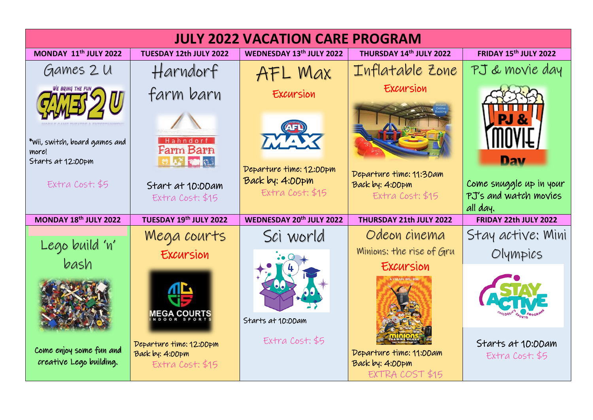| <b>JULY 2022 VACATION CARE PROGRAM</b>                                         |                                                                                                     |                                                                                      |                                                                                  |                                                                       |
|--------------------------------------------------------------------------------|-----------------------------------------------------------------------------------------------------|--------------------------------------------------------------------------------------|----------------------------------------------------------------------------------|-----------------------------------------------------------------------|
| <b>MONDAY 11<sup>th</sup> JULY 2022</b>                                        | TUESDAY 12th JULY 2022                                                                              | WEDNESDAY 13th JULY 2022                                                             | THURSDAY 14th JULY 2022                                                          | FRIDAY 15th JULY 2022                                                 |
| Games 2 U                                                                      | Harndorf                                                                                            | AFL Max                                                                              | Inflatable Zone                                                                  | PJ & movie day                                                        |
| *Wii, switch, board games and<br>more!<br>Starts at 12:00pm<br>Extra Cost; \$5 | farm barn<br>Hahndorf<br><b>Farm Barn</b><br><b>AS MARS</b><br>Start at 10:00am<br>Extra Cost: \$15 | Excursion<br>TY AT<br>Departure time: 12:00pm<br>Back by: 4:00pm<br>Extra Cost: \$15 | Excursion<br>Departure time: 11:30am<br>Back by: 4:00pm<br>Extra Cost: \$15      | Dav<br>Come snuggle up in your<br>PJ's and watch movies<br>all day.   |
| MONDAY 18th JULY 2022                                                          | TUESDAY 19th JULY 2022                                                                              | <b>WEDNESDAY 20th JULY 2022</b>                                                      | THURSDAY 21th JULY 2022                                                          | FRIDAY 22th JULY 2022                                                 |
| Lego build 'n'<br>bash<br>Come enjoy some fun and                              | Mega courts<br>Excursion<br><b>WÊĜY CÔNBILE</b><br>Departure time: 12:00pm<br>Back by: 4:00pm       | Sci world<br>Starts at 10:00am<br>Extra Cost: \$5                                    | Odeon cinema<br>Minions: the rise of Gru<br>Excursion<br>Departure time: 11:00am | Stay active: Mini<br>Olympics<br>Starts at 10:00am<br>Extra Cost: \$5 |
| creative Lego building.                                                        | Extra Cost: \$15                                                                                    |                                                                                      | Back by: 4:00pm<br>EXTRA COST \$15                                               |                                                                       |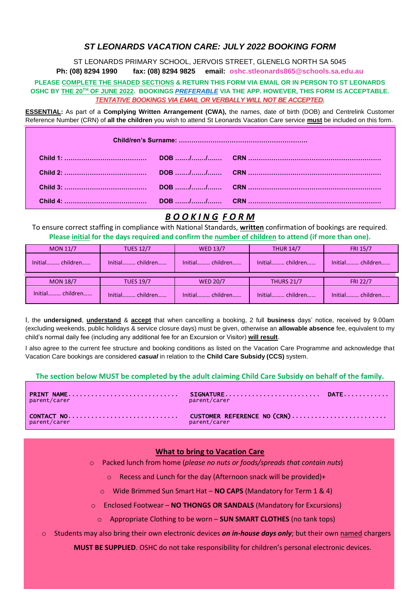## *ST LEONARDS VACATION CARE: JULY 2022 BOOKING FORM*

ST LEONARDS PRIMARY SCHOOL, JERVOIS STREET, GLENELG NORTH SA 5045 **Ph: (08) 8294 1990 fax: (08) 8294 9825 email: oshc.stleonards865@schools.sa.edu.au**

#### **PLEASE COMPLETE THE SHADED SECTIONS & RETURN THIS FORM VIA EMAIL OR IN PERSON TO ST LEONARDS OSHC BY THE 20TH OF JUNE 2022. BOOKINGS** *PREFERABLE* **VIA THE APP. HOWEVER, THIS FORM IS ACCEPTABLE.** *TENTATIVE BOOKINGS VIA EMAIL OR VERBALLY WILL NOT BE ACCEPTED.*

**ESSENTIAL:** As part of a **Complying Written Arrangement (CWA),** the names, date of birth (DOB) and Centrelink Customer Reference Number (CRN) of **all the children** you wish to attend St Leonards Vacation Care service **must** be included on this form.

## *B O O K I N G F O R M*

To ensure correct staffing in compliance with National Standards, **written** confirmation of bookings are required. **Please initial for the days required and confirm the number of children to attend (if more than one).**

| <b>MON 11/7</b>  | <b>TUES 12/7</b> | <b>WED 13/7</b>  | <b>THUR 14/7</b>  | <b>FRI 15/7</b>  |
|------------------|------------------|------------------|-------------------|------------------|
| Initial children | Initial children | Initial children | Initial children  | Initial children |
|                  |                  |                  |                   |                  |
| <b>MON 18/7</b>  | <b>TUES 19/7</b> | <b>WED 20/7</b>  | <b>THURS 21/7</b> | <b>FRI 22/7</b>  |
| Initial children | Initial children | Initial children | Initial children  | Initial children |

I, the **undersigned**, **understand** & **accept** that when cancelling a booking, 2 full **business** days' notice, received by 9.00am (excluding weekends, public holidays & service closure days) must be given, otherwise an **allowable absence** fee, equivalent to my child's normal daily fee (including any additional fee for an Excursion or Visitor) **will result**.

I also agree to the current fee structure and booking conditions as listed on the Vacation Care Programme and acknowledge that Vacation Care bookings are considered *casual* in relation to the **Child Care Subsidy (CCS)** system.

### **The section below MUST be completed by the adult claiming Child Care Subsidy on behalf of the family.**

| parent/carer | parent/carer |  |
|--------------|--------------|--|
| parent/carer | parent/carer |  |

### **What to bring to Vacation Care**

o Packed lunch from home (*please no nuts or foods/spreads that contain nuts*)

- o Recess and Lunch for the day (Afternoon snack will be provided)+
- o Wide Brimmed Sun Smart Hat **NO CAPS** (Mandatory for Term 1 & 4)
- o Enclosed Footwear **NO THONGS OR SANDALS** (Mandatory for Excursions)
	- o Appropriate Clothing to be worn **SUN SMART CLOTHES** (no tank tops)
- o Students may also bring their own electronic devices *on in-house days only*; but their own named chargers

**MUST BE SUPPLIED**. OSHC do not take responsibility for children's personal electronic devices.